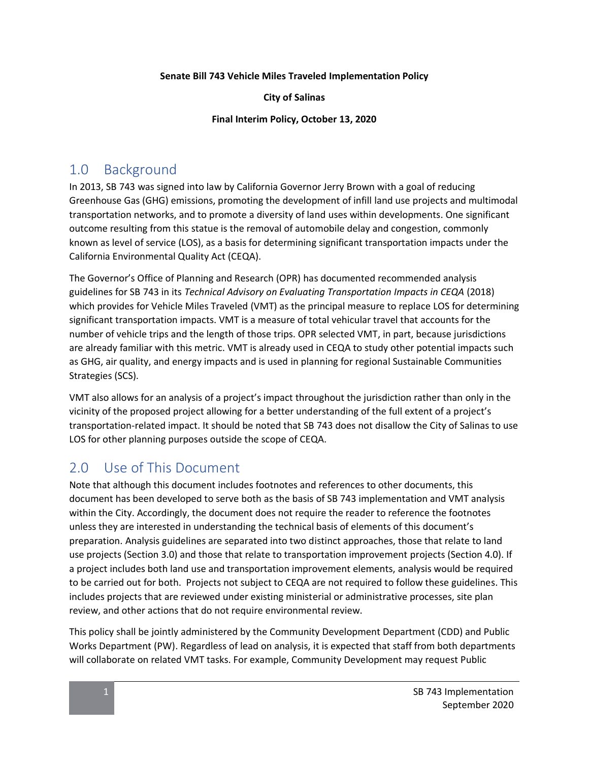#### **Senate Bill 743 Vehicle Miles Traveled Implementation Policy**

#### **City of Salinas**

#### **Final Interim Policy, October 13, 2020**

## 1.0 Background

In 2013, SB 743 was signed into law by California Governor Jerry Brown with a goal of reducing Greenhouse Gas (GHG) emissions, promoting the development of infill land use projects and multimodal transportation networks, and to promote a diversity of land uses within developments. One significant outcome resulting from this statue is the removal of automobile delay and congestion, commonly known as level of service (LOS), as a basis for determining significant transportation impacts under the California Environmental Quality Act (CEQA).

The Governor's Office of Planning and Research (OPR) has documented recommended analysis guidelines for SB 743 in its *Technical Advisory on Evaluating Transportation Impacts in CEQA* (2018) which provides for Vehicle Miles Traveled (VMT) as the principal measure to replace LOS for determining significant transportation impacts. VMT is a measure of total vehicular travel that accounts for the number of vehicle trips and the length of those trips. OPR selected VMT, in part, because jurisdictions are already familiar with this metric. VMT is already used in CEQA to study other potential impacts such as GHG, air quality, and energy impacts and is used in planning for regional Sustainable Communities Strategies (SCS).

VMT also allows for an analysis of a project's impact throughout the jurisdiction rather than only in the vicinity of the proposed project allowing for a better understanding of the full extent of a project's transportation-related impact. It should be noted that SB 743 does not disallow the City of Salinas to use LOS for other planning purposes outside the scope of CEQA.

## 2.0 Use of This Document

Note that although this document includes footnotes and references to other documents, this document has been developed to serve both as the basis of SB 743 implementation and VMT analysis within the City. Accordingly, the document does not require the reader to reference the footnotes unless they are interested in understanding the technical basis of elements of this document's preparation. Analysis guidelines are separated into two distinct approaches, those that relate to land use projects (Section 3.0) and those that relate to transportation improvement projects (Section 4.0). If a project includes both land use and transportation improvement elements, analysis would be required to be carried out for both. Projects not subject to CEQA are not required to follow these guidelines. This includes projects that are reviewed under existing ministerial or administrative processes, site plan review, and other actions that do not require environmental review.

This policy shall be jointly administered by the Community Development Department (CDD) and Public Works Department (PW). Regardless of lead on analysis, it is expected that staff from both departments will collaborate on related VMT tasks. For example, Community Development may request Public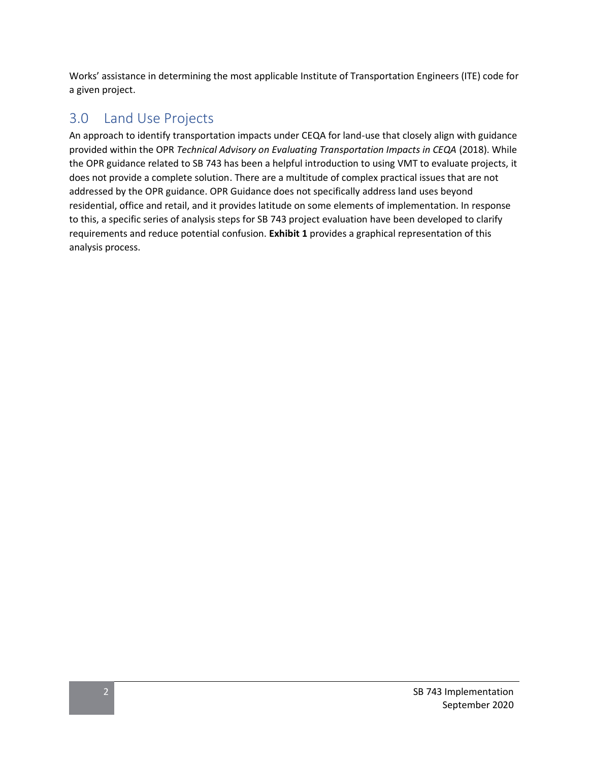Works' assistance in determining the most applicable Institute of Transportation Engineers (ITE) code for a given project.

## 3.0 Land Use Projects

An approach to identify transportation impacts under CEQA for land-use that closely align with guidance provided within the OPR *Technical Advisory on Evaluating Transportation Impacts in CEQA* (2018). While the OPR guidance related to SB 743 has been a helpful introduction to using VMT to evaluate projects, it does not provide a complete solution. There are a multitude of complex practical issues that are not addressed by the OPR guidance. OPR Guidance does not specifically address land uses beyond residential, office and retail, and it provides latitude on some elements of implementation. In response to this, a specific series of analysis steps for SB 743 project evaluation have been developed to clarify requirements and reduce potential confusion. **Exhibit 1** provides a graphical representation of this analysis process.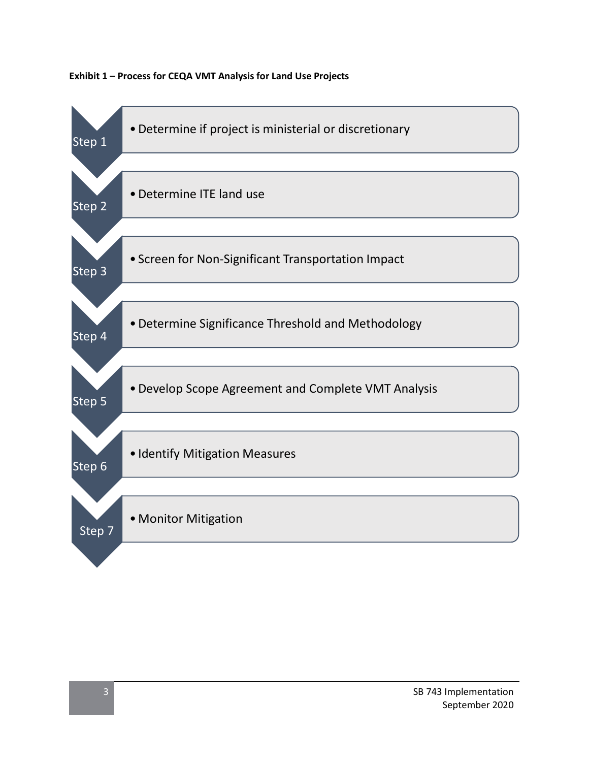

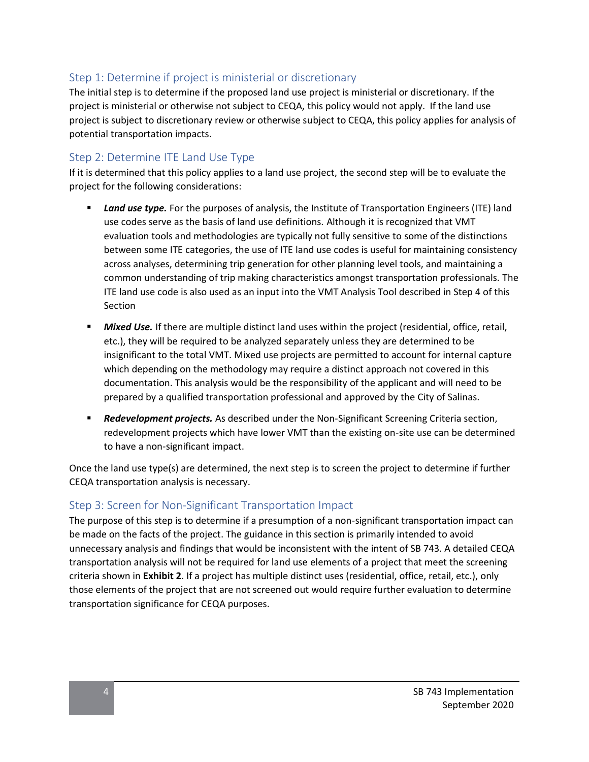## Step 1: Determine if project is ministerial or discretionary

The initial step is to determine if the proposed land use project is ministerial or discretionary. If the project is ministerial or otherwise not subject to CEQA, this policy would not apply. If the land use project is subject to discretionary review or otherwise subject to CEQA, this policy applies for analysis of potential transportation impacts.

### Step 2: Determine ITE Land Use Type

If it is determined that this policy applies to a land use project, the second step will be to evaluate the project for the following considerations:

- **Example 15 and use type.** For the purposes of analysis, the Institute of Transportation Engineers (ITE) land use codes serve as the basis of land use definitions. Although it is recognized that VMT evaluation tools and methodologies are typically not fully sensitive to some of the distinctions between some ITE categories, the use of ITE land use codes is useful for maintaining consistency across analyses, determining trip generation for other planning level tools, and maintaining a common understanding of trip making characteristics amongst transportation professionals. The ITE land use code is also used as an input into the VMT Analysis Tool described in Step 4 of this Section
- **EXECT** *Mixed Use.* If there are multiple distinct land uses within the project (residential, office, retail, etc.), they will be required to be analyzed separately unless they are determined to be insignificant to the total VMT. Mixed use projects are permitted to account for internal capture which depending on the methodology may require a distinct approach not covered in this documentation. This analysis would be the responsibility of the applicant and will need to be prepared by a qualified transportation professional and approved by the City of Salinas.
- **Redevelopment projects.** As described under the Non-Significant Screening Criteria section, redevelopment projects which have lower VMT than the existing on-site use can be determined to have a non-significant impact.

Once the land use type(s) are determined, the next step is to screen the project to determine if further CEQA transportation analysis is necessary.

#### Step 3: Screen for Non-Significant Transportation Impact

The purpose of this step is to determine if a presumption of a non-significant transportation impact can be made on the facts of the project. The guidance in this section is primarily intended to avoid unnecessary analysis and findings that would be inconsistent with the intent of SB 743. A detailed CEQA transportation analysis will not be required for land use elements of a project that meet the screening criteria shown in **Exhibit 2**. If a project has multiple distinct uses (residential, office, retail, etc.), only those elements of the project that are not screened out would require further evaluation to determine transportation significance for CEQA purposes.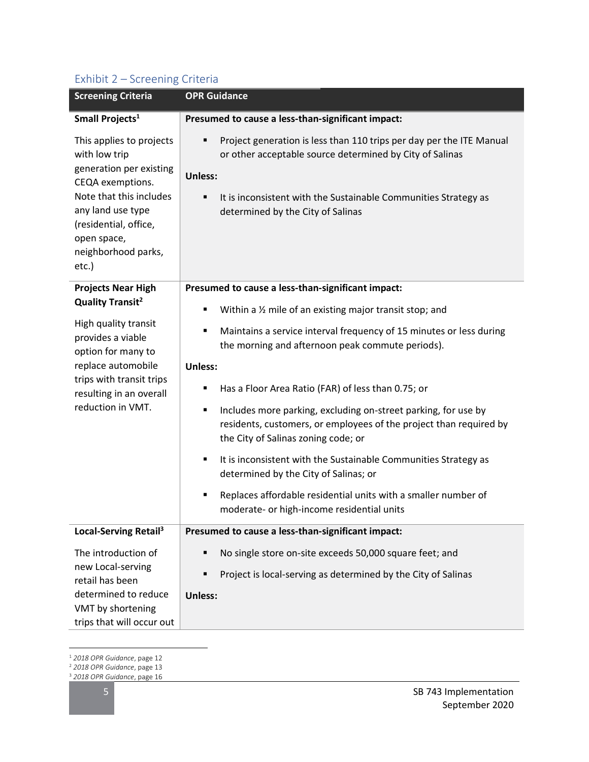## Exhibit 2 – Screening Criteria

| <b>Screening Criteria</b>                                                                                                                                                                                        | <b>OPR Guidance</b>                                                                                                                                                                                                                                           |
|------------------------------------------------------------------------------------------------------------------------------------------------------------------------------------------------------------------|---------------------------------------------------------------------------------------------------------------------------------------------------------------------------------------------------------------------------------------------------------------|
| Small Projects <sup>1</sup>                                                                                                                                                                                      | Presumed to cause a less-than-significant impact:                                                                                                                                                                                                             |
| This applies to projects<br>with low trip<br>generation per existing<br>CEQA exemptions.<br>Note that this includes<br>any land use type<br>(residential, office,<br>open space,<br>neighborhood parks,<br>etc.) | Project generation is less than 110 trips per day per the ITE Manual<br>٠<br>or other acceptable source determined by City of Salinas<br>Unless:<br>It is inconsistent with the Sustainable Communities Strategy as<br>٠<br>determined by the City of Salinas |
| <b>Projects Near High</b>                                                                                                                                                                                        | Presumed to cause a less-than-significant impact:                                                                                                                                                                                                             |
| <b>Quality Transit<sup>2</sup></b><br>High quality transit<br>provides a viable<br>option for many to<br>replace automobile<br>trips with transit trips                                                          | Within a 1/2 mile of an existing major transit stop; and<br>٠                                                                                                                                                                                                 |
|                                                                                                                                                                                                                  | Maintains a service interval frequency of 15 minutes or less during<br>٠<br>the morning and afternoon peak commute periods).<br><b>Unless:</b>                                                                                                                |
|                                                                                                                                                                                                                  |                                                                                                                                                                                                                                                               |
| resulting in an overall                                                                                                                                                                                          | Has a Floor Area Ratio (FAR) of less than 0.75; or<br>٠                                                                                                                                                                                                       |
| reduction in VMT.                                                                                                                                                                                                | Includes more parking, excluding on-street parking, for use by<br>٠<br>residents, customers, or employees of the project than required by<br>the City of Salinas zoning code; or                                                                              |
|                                                                                                                                                                                                                  | It is inconsistent with the Sustainable Communities Strategy as<br>٠<br>determined by the City of Salinas; or                                                                                                                                                 |
|                                                                                                                                                                                                                  | Replaces affordable residential units with a smaller number of<br>٠<br>moderate- or high-income residential units                                                                                                                                             |
| Local-Serving Retail <sup>3</sup>                                                                                                                                                                                | Presumed to cause a less-than-significant impact:                                                                                                                                                                                                             |
| The introduction of                                                                                                                                                                                              | No single store on-site exceeds 50,000 square feet; and<br>٠                                                                                                                                                                                                  |
| new Local-serving<br>retail has been                                                                                                                                                                             | Project is local-serving as determined by the City of Salinas<br>٠                                                                                                                                                                                            |
| determined to reduce                                                                                                                                                                                             | Unless:                                                                                                                                                                                                                                                       |
| VMT by shortening                                                                                                                                                                                                |                                                                                                                                                                                                                                                               |
| trips that will occur out                                                                                                                                                                                        |                                                                                                                                                                                                                                                               |

<sup>1</sup> *2018 OPR Guidance*, page 12

<sup>3</sup> *2018 OPR Guidance*, page 16

<sup>2</sup> *2018 OPR Guidance*, page 13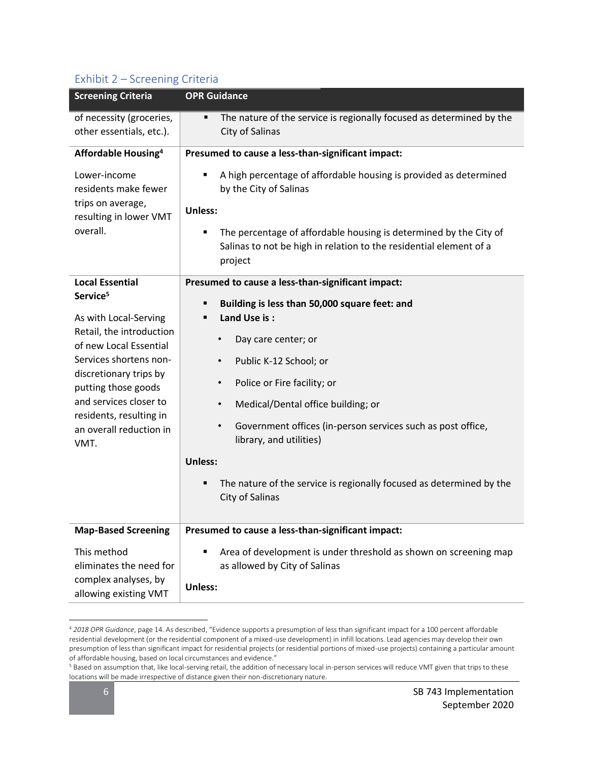## Exhibit 2 – Screening Criteria

| <b>Screening Criteria</b>                                                                                                                                                                                                                                                                        | <b>OPR Guidance</b>                                                                                                                                                                                                                                                                                                                                                                                                                                                                                   |
|--------------------------------------------------------------------------------------------------------------------------------------------------------------------------------------------------------------------------------------------------------------------------------------------------|-------------------------------------------------------------------------------------------------------------------------------------------------------------------------------------------------------------------------------------------------------------------------------------------------------------------------------------------------------------------------------------------------------------------------------------------------------------------------------------------------------|
| of necessity (groceries,<br>other essentials, etc.).                                                                                                                                                                                                                                             | The nature of the service is regionally focused as determined by the<br>٠<br>City of Salinas                                                                                                                                                                                                                                                                                                                                                                                                          |
| Affordable Housing <sup>4</sup>                                                                                                                                                                                                                                                                  | Presumed to cause a less-than-significant impact:                                                                                                                                                                                                                                                                                                                                                                                                                                                     |
| Lower-income<br>residents make fewer<br>trips on average,<br>resulting in lower VMT<br>overall.                                                                                                                                                                                                  | A high percentage of affordable housing is provided as determined<br>٠<br>by the City of Salinas<br><b>Unless:</b><br>The percentage of affordable housing is determined by the City of<br>٠<br>Salinas to not be high in relation to the residential element of a<br>project                                                                                                                                                                                                                         |
| <b>Local Essential</b><br>Service <sup>5</sup><br>As with Local-Serving<br>Retail, the introduction<br>of new Local Essential<br>Services shortens non-<br>discretionary trips by<br>putting those goods<br>and services closer to<br>residents, resulting in<br>an overall reduction in<br>VMT. | Presumed to cause a less-than-significant impact:<br>Building is less than 50,000 square feet: and<br>٠<br>Land Use is:<br>٠<br>Day care center; or<br>Public K-12 School; or<br>Police or Fire facility; or<br>$\bullet$<br>Medical/Dental office building; or<br>$\bullet$<br>Government offices (in-person services such as post office,<br>$\bullet$<br>library, and utilities)<br><b>Unless:</b><br>The nature of the service is regionally focused as determined by the<br>٠<br>City of Salinas |
| <b>Map-Based Screening</b>                                                                                                                                                                                                                                                                       | Presumed to cause a less-than-significant impact:                                                                                                                                                                                                                                                                                                                                                                                                                                                     |
| This method<br>eliminates the need for<br>complex analyses, by<br>allowing existing VMT                                                                                                                                                                                                          | Area of development is under threshold as shown on screening map<br>٠<br>as allowed by City of Salinas<br><b>Unless:</b>                                                                                                                                                                                                                                                                                                                                                                              |

<sup>4</sup> *2018 OPR Guidance*, page 14. As described, "Evidence supports a presumption of less than significant impact for a 100 percent affordable residential development (or the residential component of a mixed-use development) in infill locations. Lead agencies may develop their own presumption of less than significant impact for residential projects (or residential portions of mixed-use projects) containing a particular amount of affordable housing, based on local circumstances and evidence."

<sup>5</sup> Based on assumption that, like local-serving retail, the addition of necessary local in-person services will reduce VMT given that trips to these locations will be made irrespective of distance given their non-discretionary nature.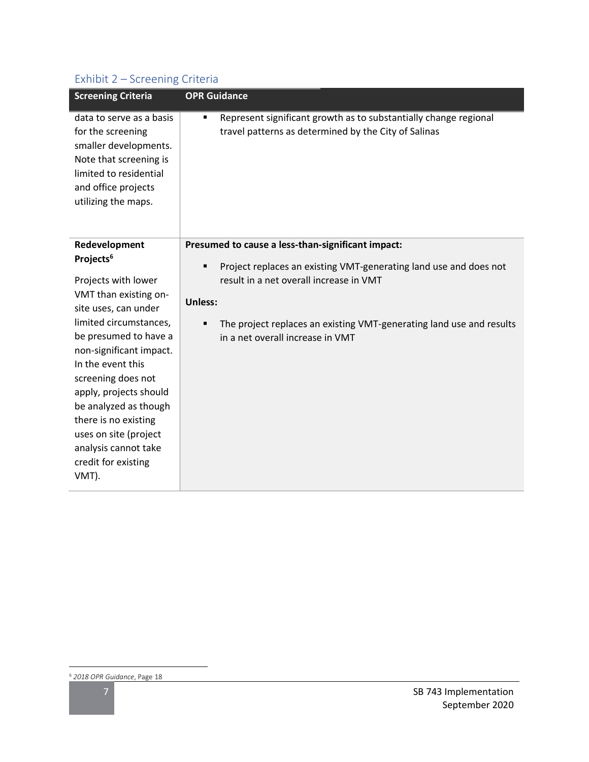## Exhibit 2 – Screening Criteria

| <b>Screening Criteria</b>                                                                                                                                                                                                                                                                                                                                                                           | <b>OPR Guidance</b>                                                                                                                                                                                                                                                                                       |
|-----------------------------------------------------------------------------------------------------------------------------------------------------------------------------------------------------------------------------------------------------------------------------------------------------------------------------------------------------------------------------------------------------|-----------------------------------------------------------------------------------------------------------------------------------------------------------------------------------------------------------------------------------------------------------------------------------------------------------|
| data to serve as a basis<br>for the screening<br>smaller developments.<br>Note that screening is<br>limited to residential<br>and office projects<br>utilizing the maps.                                                                                                                                                                                                                            | Represent significant growth as to substantially change regional<br>٠<br>travel patterns as determined by the City of Salinas                                                                                                                                                                             |
| Redevelopment<br>Projects <sup>6</sup><br>Projects with lower<br>VMT than existing on-<br>site uses, can under<br>limited circumstances,<br>be presumed to have a<br>non-significant impact.<br>In the event this<br>screening does not<br>apply, projects should<br>be analyzed as though<br>there is no existing<br>uses on site (project<br>analysis cannot take<br>credit for existing<br>VMT). | Presumed to cause a less-than-significant impact:<br>Project replaces an existing VMT-generating land use and does not<br>٠<br>result in a net overall increase in VMT<br><b>Unless:</b><br>The project replaces an existing VMT-generating land use and results<br>٠<br>in a net overall increase in VMT |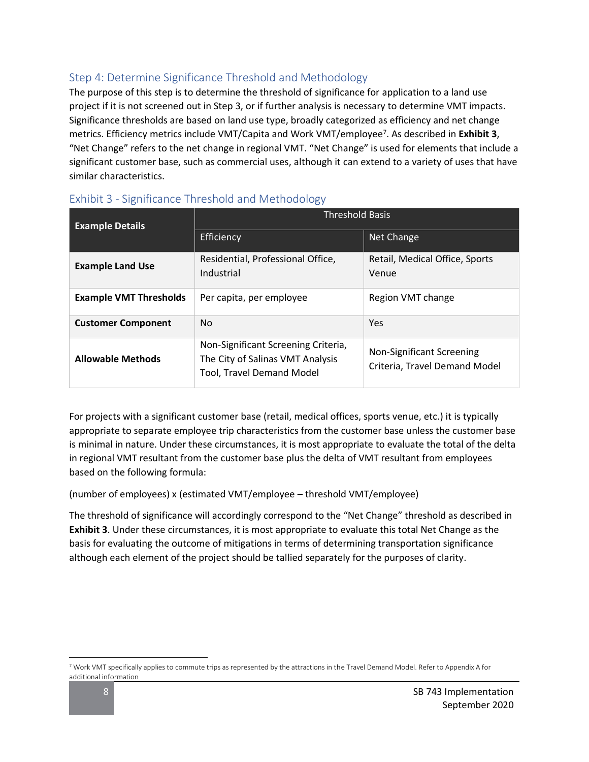## Step 4: Determine Significance Threshold and Methodology

The purpose of this step is to determine the threshold of significance for application to a land use project if it is not screened out in Step 3, or if further analysis is necessary to determine VMT impacts. Significance thresholds are based on land use type, broadly categorized as efficiency and net change metrics. Efficiency metrics include VMT/Capita and Work VMT/employee<sup>7</sup>. As described in Exhibit 3, "Net Change" refers to the net change in regional VMT. "Net Change" is used for elements that include a significant customer base, such as commercial uses, although it can extend to a variety of uses that have similar characteristics.

| <b>Example Details</b>        | <b>Threshold Basis</b>                                                                                      |                                                            |  |  |
|-------------------------------|-------------------------------------------------------------------------------------------------------------|------------------------------------------------------------|--|--|
|                               | Efficiency                                                                                                  | Net Change                                                 |  |  |
| <b>Example Land Use</b>       | Residential, Professional Office,<br>Industrial                                                             | Retail, Medical Office, Sports<br>Venue                    |  |  |
| <b>Example VMT Thresholds</b> | Per capita, per employee                                                                                    | Region VMT change                                          |  |  |
| <b>Customer Component</b>     | <b>No</b>                                                                                                   | Yes                                                        |  |  |
| <b>Allowable Methods</b>      | Non-Significant Screening Criteria,<br>The City of Salinas VMT Analysis<br><b>Tool, Travel Demand Model</b> | Non-Significant Screening<br>Criteria, Travel Demand Model |  |  |

## Exhibit 3 - Significance Threshold and Methodology

For projects with a significant customer base (retail, medical offices, sports venue, etc.) it is typically appropriate to separate employee trip characteristics from the customer base unless the customer base is minimal in nature. Under these circumstances, it is most appropriate to evaluate the total of the delta in regional VMT resultant from the customer base plus the delta of VMT resultant from employees based on the following formula:

(number of employees) x (estimated VMT/employee – threshold VMT/employee)

The threshold of significance will accordingly correspond to the "Net Change" threshold as described in **Exhibit 3**. Under these circumstances, it is most appropriate to evaluate this total Net Change as the basis for evaluating the outcome of mitigations in terms of determining transportation significance although each element of the project should be tallied separately for the purposes of clarity.

<sup>7</sup> Work VMT specifically applies to commute trips as represented by the attractions in the Travel Demand Model. Refer to Appendix A for additional information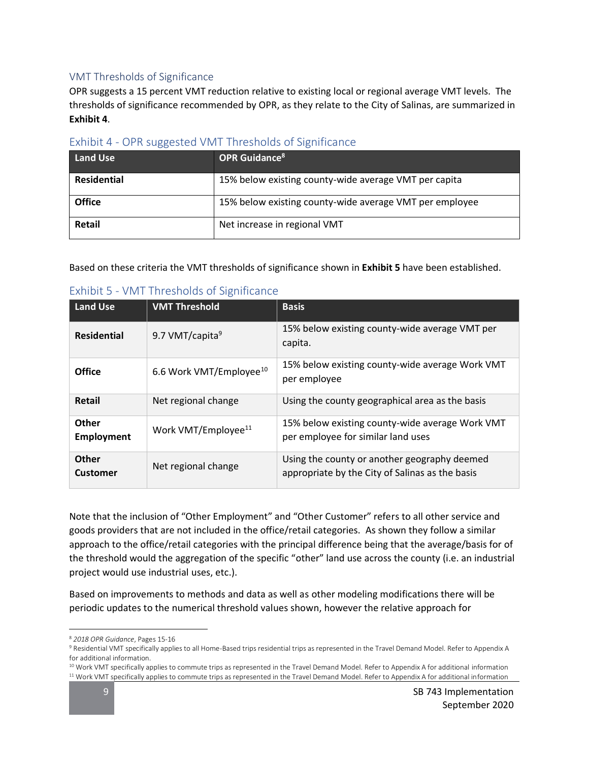#### VMT Thresholds of Significance

OPR suggests a 15 percent VMT reduction relative to existing local or regional average VMT levels. The thresholds of significance recommended by OPR, as they relate to the City of Salinas, are summarized in **Exhibit 4**.

| <b>Land Use</b> | <b>OPR Guidance<sup>8</sup></b>                         |
|-----------------|---------------------------------------------------------|
|                 |                                                         |
| Residential     | 15% below existing county-wide average VMT per capita   |
|                 |                                                         |
| <b>Office</b>   | 15% below existing county-wide average VMT per employee |
| Retail          | Net increase in regional VMT                            |
|                 |                                                         |

#### Exhibit 4 - OPR suggested VMT Thresholds of Significance

Based on these criteria the VMT thresholds of significance shown in **Exhibit 5** have been established.

| <b>Land Use</b>            | <b>VMT Threshold</b>                | <b>Basis</b>                                                                                    |
|----------------------------|-------------------------------------|-------------------------------------------------------------------------------------------------|
| <b>Residential</b>         | 9.7 VMT/capita <sup>9</sup>         | 15% below existing county-wide average VMT per<br>capita.                                       |
| Office                     | 6.6 Work VMT/Employee <sup>10</sup> | 15% below existing county-wide average Work VMT<br>per employee                                 |
| <b>Retail</b>              | Net regional change                 | Using the county geographical area as the basis                                                 |
| Other<br><b>Employment</b> | Work VMT/Employee <sup>11</sup>     | 15% below existing county-wide average Work VMT<br>per employee for similar land uses           |
| Other<br><b>Customer</b>   | Net regional change                 | Using the county or another geography deemed<br>appropriate by the City of Salinas as the basis |

#### Exhibit 5 - VMT Thresholds of Significance

Note that the inclusion of "Other Employment" and "Other Customer" refers to all other service and goods providers that are not included in the office/retail categories. As shown they follow a similar approach to the office/retail categories with the principal difference being that the average/basis for of the threshold would the aggregation of the specific "other" land use across the county (i.e. an industrial project would use industrial uses, etc.).

Based on improvements to methods and data as well as other modeling modifications there will be periodic updates to the numerical threshold values shown, however the relative approach for

<sup>8</sup> *2018 OPR Guidance*, Pages 15-16

<sup>9</sup> Residential VMT specifically applies to all Home-Based trips residential trips as represented in the Travel Demand Model. Refer to Appendix A for additional information.

<sup>&</sup>lt;sup>10</sup> Work VMT specifically applies to commute trips as represented in the Travel Demand Model. Refer to Appendix A for additional information <sup>11</sup> Work VMT specifically applies to commute trips as represented in the Travel Demand Model. Refer to Appendix A for additional information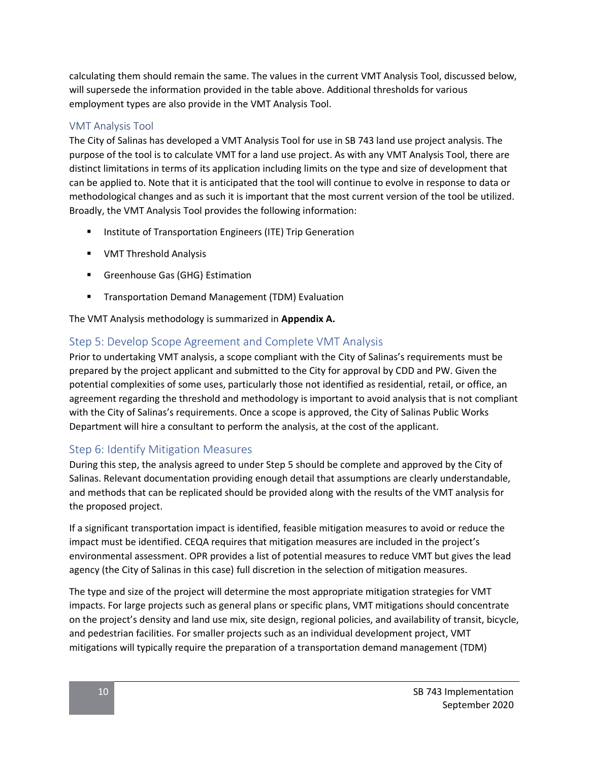calculating them should remain the same. The values in the current VMT Analysis Tool, discussed below, will supersede the information provided in the table above. Additional thresholds for various employment types are also provide in the VMT Analysis Tool.

#### VMT Analysis Tool

The City of Salinas has developed a VMT Analysis Tool for use in SB 743 land use project analysis. The purpose of the tool is to calculate VMT for a land use project. As with any VMT Analysis Tool, there are distinct limitations in terms of its application including limits on the type and size of development that can be applied to. Note that it is anticipated that the tool will continue to evolve in response to data or methodological changes and as such it is important that the most current version of the tool be utilized. Broadly, the VMT Analysis Tool provides the following information:

- **■** Institute of Transportation Engineers (ITE) Trip Generation
- VMT Threshold Analysis
- **E** Greenhouse Gas (GHG) Estimation
- Transportation Demand Management (TDM) Evaluation

The VMT Analysis methodology is summarized in **Appendix A.**

#### Step 5: Develop Scope Agreement and Complete VMT Analysis

Prior to undertaking VMT analysis, a scope compliant with the City of Salinas's requirements must be prepared by the project applicant and submitted to the City for approval by CDD and PW. Given the potential complexities of some uses, particularly those not identified as residential, retail, or office, an agreement regarding the threshold and methodology is important to avoid analysis that is not compliant with the City of Salinas's requirements. Once a scope is approved, the City of Salinas Public Works Department will hire a consultant to perform the analysis, at the cost of the applicant.

#### Step 6: Identify Mitigation Measures

During this step, the analysis agreed to under Step 5 should be complete and approved by the City of Salinas. Relevant documentation providing enough detail that assumptions are clearly understandable, and methods that can be replicated should be provided along with the results of the VMT analysis for the proposed project.

If a significant transportation impact is identified, feasible mitigation measures to avoid or reduce the impact must be identified. CEQA requires that mitigation measures are included in the project's environmental assessment. OPR provides a list of potential measures to reduce VMT but gives the lead agency (the City of Salinas in this case) full discretion in the selection of mitigation measures.

The type and size of the project will determine the most appropriate mitigation strategies for VMT impacts. For large projects such as general plans or specific plans, VMT mitigations should concentrate on the project's density and land use mix, site design, regional policies, and availability of transit, bicycle, and pedestrian facilities. For smaller projects such as an individual development project, VMT mitigations will typically require the preparation of a transportation demand management (TDM)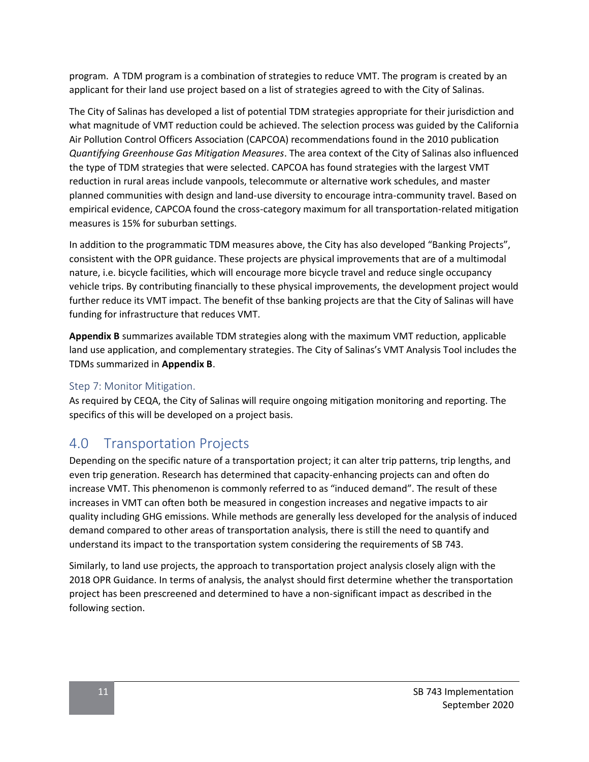program. A TDM program is a combination of strategies to reduce VMT. The program is created by an applicant for their land use project based on a list of strategies agreed to with the City of Salinas.

The City of Salinas has developed a list of potential TDM strategies appropriate for their jurisdiction and what magnitude of VMT reduction could be achieved. The selection process was guided by the California Air Pollution Control Officers Association (CAPCOA) recommendations found in the 2010 publication *Quantifying Greenhouse Gas Mitigation Measures*. The area context of the City of Salinas also influenced the type of TDM strategies that were selected. CAPCOA has found strategies with the largest VMT reduction in rural areas include vanpools, telecommute or alternative work schedules, and master planned communities with design and land-use diversity to encourage intra-community travel. Based on empirical evidence, CAPCOA found the cross-category maximum for all transportation-related mitigation measures is 15% for suburban settings.

In addition to the programmatic TDM measures above, the City has also developed "Banking Projects", consistent with the OPR guidance. These projects are physical improvements that are of a multimodal nature, i.e. bicycle facilities, which will encourage more bicycle travel and reduce single occupancy vehicle trips. By contributing financially to these physical improvements, the development project would further reduce its VMT impact. The benefit of thse banking projects are that the City of Salinas will have funding for infrastructure that reduces VMT.

**Appendix B** summarizes available TDM strategies along with the maximum VMT reduction, applicable land use application, and complementary strategies. The City of Salinas's VMT Analysis Tool includes the TDMs summarized in **Appendix B**.

#### Step 7: Monitor Mitigation.

As required by CEQA, the City of Salinas will require ongoing mitigation monitoring and reporting. The specifics of this will be developed on a project basis.

## 4.0 Transportation Projects

Depending on the specific nature of a transportation project; it can alter trip patterns, trip lengths, and even trip generation. Research has determined that capacity-enhancing projects can and often do increase VMT. This phenomenon is commonly referred to as "induced demand". The result of these increases in VMT can often both be measured in congestion increases and negative impacts to air quality including GHG emissions. While methods are generally less developed for the analysis of induced demand compared to other areas of transportation analysis, there is still the need to quantify and understand its impact to the transportation system considering the requirements of SB 743.

Similarly, to land use projects, the approach to transportation project analysis closely align with the 2018 OPR Guidance. In terms of analysis, the analyst should first determine whether the transportation project has been prescreened and determined to have a non-significant impact as described in the following section.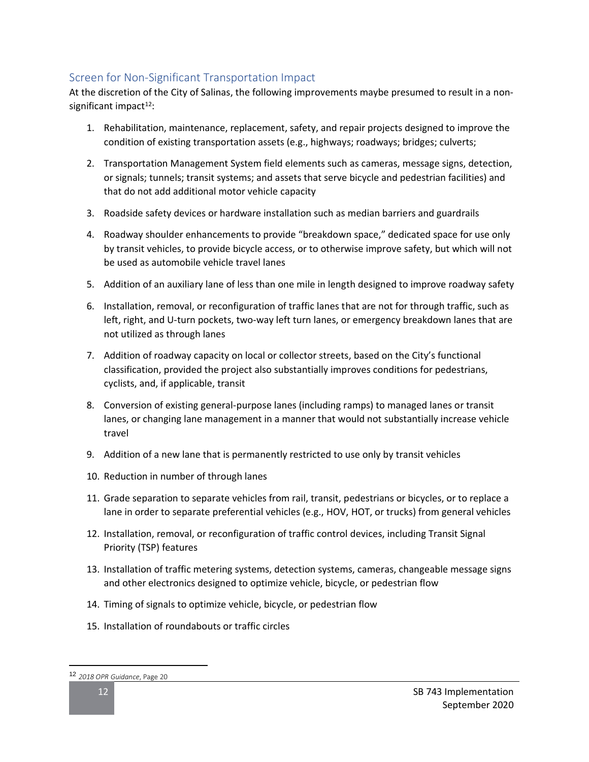## Screen for Non-Significant Transportation Impact

At the discretion of the City of Salinas, the following improvements maybe presumed to result in a nonsignificant impact<sup>12</sup>:

- 1. Rehabilitation, maintenance, replacement, safety, and repair projects designed to improve the condition of existing transportation assets (e.g., highways; roadways; bridges; culverts;
- 2. Transportation Management System field elements such as cameras, message signs, detection, or signals; tunnels; transit systems; and assets that serve bicycle and pedestrian facilities) and that do not add additional motor vehicle capacity
- 3. Roadside safety devices or hardware installation such as median barriers and guardrails
- 4. Roadway shoulder enhancements to provide "breakdown space," dedicated space for use only by transit vehicles, to provide bicycle access, or to otherwise improve safety, but which will not be used as automobile vehicle travel lanes
- 5. Addition of an auxiliary lane of less than one mile in length designed to improve roadway safety
- 6. Installation, removal, or reconfiguration of traffic lanes that are not for through traffic, such as left, right, and U-turn pockets, two-way left turn lanes, or emergency breakdown lanes that are not utilized as through lanes
- 7. Addition of roadway capacity on local or collector streets, based on the City's functional classification, provided the project also substantially improves conditions for pedestrians, cyclists, and, if applicable, transit
- 8. Conversion of existing general-purpose lanes (including ramps) to managed lanes or transit lanes, or changing lane management in a manner that would not substantially increase vehicle travel
- 9. Addition of a new lane that is permanently restricted to use only by transit vehicles
- 10. Reduction in number of through lanes
- 11. Grade separation to separate vehicles from rail, transit, pedestrians or bicycles, or to replace a lane in order to separate preferential vehicles (e.g., HOV, HOT, or trucks) from general vehicles
- 12. Installation, removal, or reconfiguration of traffic control devices, including Transit Signal Priority (TSP) features
- 13. Installation of traffic metering systems, detection systems, cameras, changeable message signs and other electronics designed to optimize vehicle, bicycle, or pedestrian flow
- 14. Timing of signals to optimize vehicle, bicycle, or pedestrian flow
- 15. Installation of roundabouts or traffic circles

<sup>12</sup> *2018 OPR Guidance*, Page 20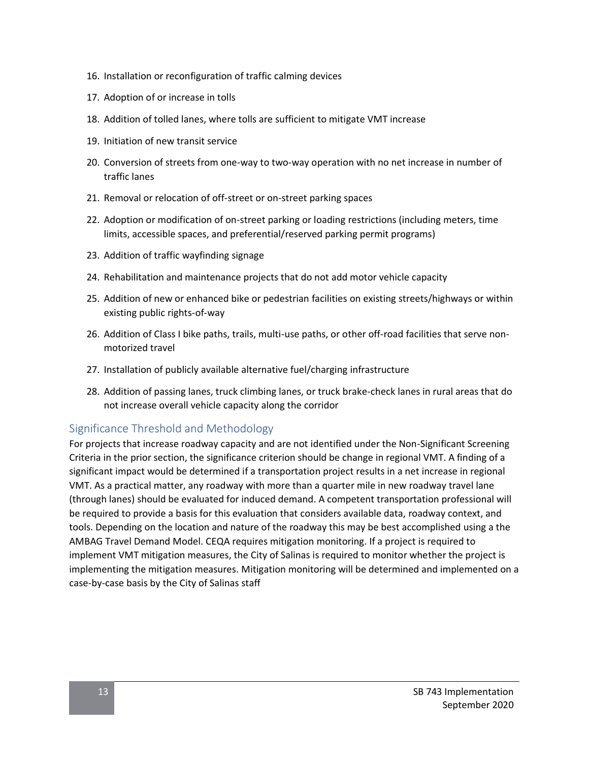- 16. Installation or reconfiguration of traffic calming devices
- 17. Adoption of or increase in tolls
- 18. Addition of tolled lanes, where tolls are sufficient to mitigate VMT increase
- 19. Initiation of new transit service
- 20. Conversion of streets from one-way to two-way operation with no net increase in number of traffic lanes
- 21. Removal or relocation of off-street or on-street parking spaces
- 22. Adoption or modification of on-street parking or loading restrictions (including meters, time limits, accessible spaces, and preferential/reserved parking permit programs)
- 23. Addition of traffic wayfinding signage
- 24. Rehabilitation and maintenance projects that do not add motor vehicle capacity
- 25. Addition of new or enhanced bike or pedestrian facilities on existing streets/highways or within existing public rights-of-way
- 26. Addition of Class I bike paths, trails, multi-use paths, or other off-road facilities that serve nonmotorized travel
- 27. Installation of publicly available alternative fuel/charging infrastructure
- 28. Addition of passing lanes, truck climbing lanes, or truck brake-check lanes in rural areas that do not increase overall vehicle capacity along the corridor

#### Significance Threshold and Methodology

For projects that increase roadway capacity and are not identified under the Non-Significant Screening Criteria in the prior section, the significance criterion should be change in regional VMT. A finding of a significant impact would be determined if a transportation project results in a net increase in regional VMT. As a practical matter, any roadway with more than a quarter mile in new roadway travel lane (through lanes) should be evaluated for induced demand. A competent transportation professional will be required to provide a basis for this evaluation that considers available data, roadway context, and tools. Depending on the location and nature of the roadway this may be best accomplished using a the AMBAG Travel Demand Model. CEQA requires mitigation monitoring. If a project is required to implement VMT mitigation measures, the City of Salinas is required to monitor whether the project is implementing the mitigation measures. Mitigation monitoring will be determined and implemented on a case-by-case basis by the City of Salinas staff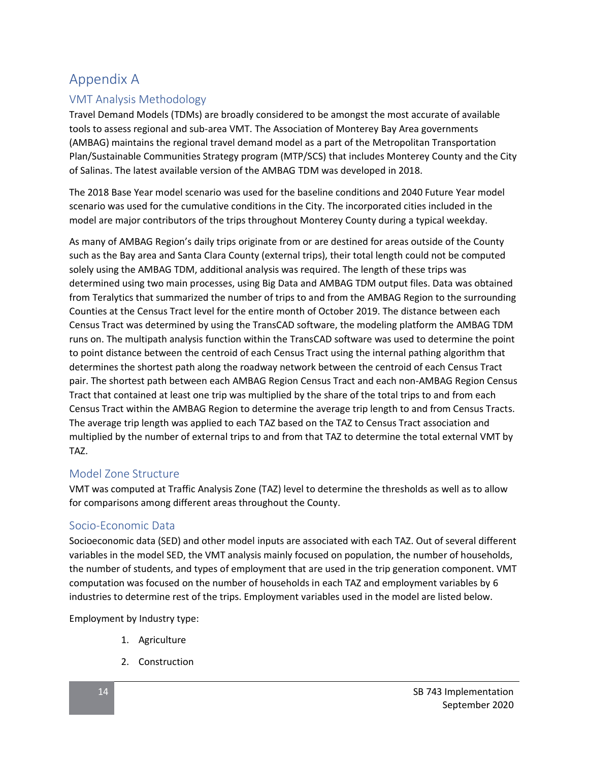## Appendix A

## VMT Analysis Methodology

Travel Demand Models (TDMs) are broadly considered to be amongst the most accurate of available tools to assess regional and sub-area VMT. The Association of Monterey Bay Area governments (AMBAG) maintains the regional travel demand model as a part of the Metropolitan Transportation Plan/Sustainable Communities Strategy program (MTP/SCS) that includes Monterey County and the City of Salinas. The latest available version of the AMBAG TDM was developed in 2018.

The 2018 Base Year model scenario was used for the baseline conditions and 2040 Future Year model scenario was used for the cumulative conditions in the City. The incorporated cities included in the model are major contributors of the trips throughout Monterey County during a typical weekday.

As many of AMBAG Region's daily trips originate from or are destined for areas outside of the County such as the Bay area and Santa Clara County (external trips), their total length could not be computed solely using the AMBAG TDM, additional analysis was required. The length of these trips was determined using two main processes, using Big Data and AMBAG TDM output files. Data was obtained from Teralytics that summarized the number of trips to and from the AMBAG Region to the surrounding Counties at the Census Tract level for the entire month of October 2019. The distance between each Census Tract was determined by using the TransCAD software, the modeling platform the AMBAG TDM runs on. The multipath analysis function within the TransCAD software was used to determine the point to point distance between the centroid of each Census Tract using the internal pathing algorithm that determines the shortest path along the roadway network between the centroid of each Census Tract pair. The shortest path between each AMBAG Region Census Tract and each non-AMBAG Region Census Tract that contained at least one trip was multiplied by the share of the total trips to and from each Census Tract within the AMBAG Region to determine the average trip length to and from Census Tracts. The average trip length was applied to each TAZ based on the TAZ to Census Tract association and multiplied by the number of external trips to and from that TAZ to determine the total external VMT by TAZ.

## Model Zone Structure

VMT was computed at Traffic Analysis Zone (TAZ) level to determine the thresholds as well as to allow for comparisons among different areas throughout the County.

#### Socio-Economic Data

Socioeconomic data (SED) and other model inputs are associated with each TAZ. Out of several different variables in the model SED, the VMT analysis mainly focused on population, the number of households, the number of students, and types of employment that are used in the trip generation component. VMT computation was focused on the number of households in each TAZ and employment variables by 6 industries to determine rest of the trips. Employment variables used in the model are listed below.

Employment by Industry type:

- 1. Agriculture
- 2. Construction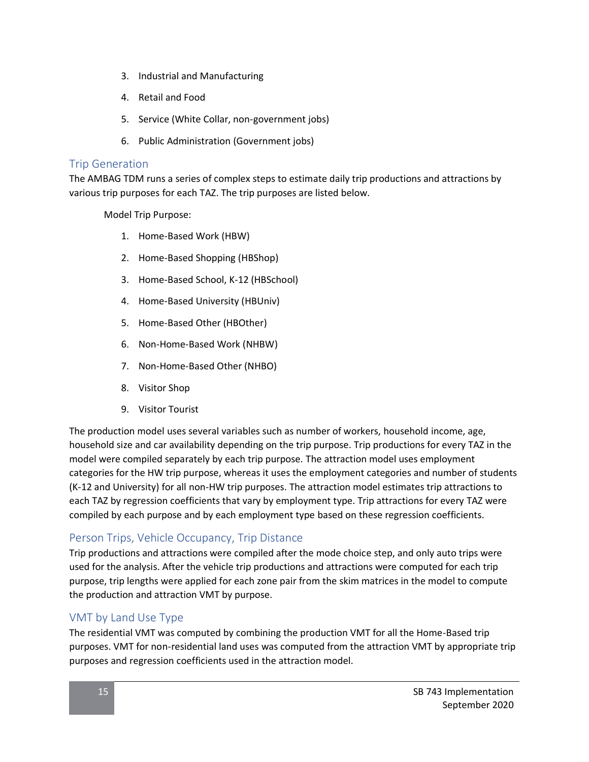- 3. Industrial and Manufacturing
- 4. Retail and Food
- 5. Service (White Collar, non-government jobs)
- 6. Public Administration (Government jobs)

#### Trip Generation

The AMBAG TDM runs a series of complex steps to estimate daily trip productions and attractions by various trip purposes for each TAZ. The trip purposes are listed below.

Model Trip Purpose:

- 1. Home-Based Work (HBW)
- 2. Home-Based Shopping (HBShop)
- 3. Home-Based School, K-12 (HBSchool)
- 4. Home-Based University (HBUniv)
- 5. Home-Based Other (HBOther)
- 6. Non-Home-Based Work (NHBW)
- 7. Non-Home-Based Other (NHBO)
- 8. Visitor Shop
- 9. Visitor Tourist

The production model uses several variables such as number of workers, household income, age, household size and car availability depending on the trip purpose. Trip productions for every TAZ in the model were compiled separately by each trip purpose. The attraction model uses employment categories for the HW trip purpose, whereas it uses the employment categories and number of students (K-12 and University) for all non-HW trip purposes. The attraction model estimates trip attractions to each TAZ by regression coefficients that vary by employment type. Trip attractions for every TAZ were compiled by each purpose and by each employment type based on these regression coefficients.

## Person Trips, Vehicle Occupancy, Trip Distance

Trip productions and attractions were compiled after the mode choice step, and only auto trips were used for the analysis. After the vehicle trip productions and attractions were computed for each trip purpose, trip lengths were applied for each zone pair from the skim matrices in the model to compute the production and attraction VMT by purpose.

## VMT by Land Use Type

The residential VMT was computed by combining the production VMT for all the Home-Based trip purposes. VMT for non-residential land uses was computed from the attraction VMT by appropriate trip purposes and regression coefficients used in the attraction model.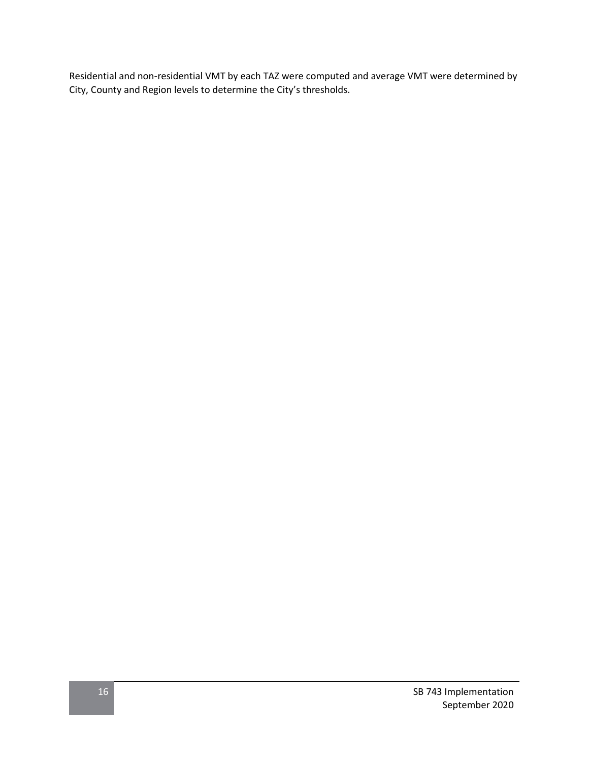Residential and non-residential VMT by each TAZ were computed and average VMT were determined by City, County and Region levels to determine the City's thresholds.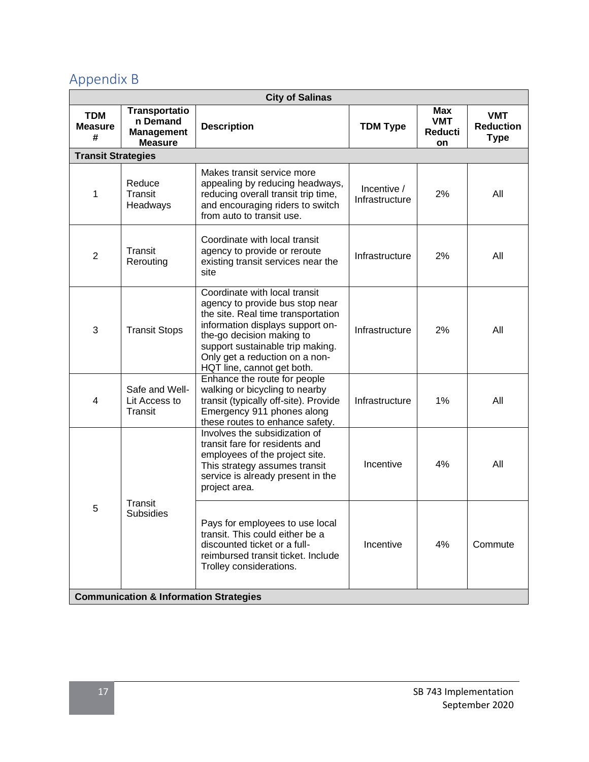# Appendix B

| <b>City of Salinas</b>                            |                                                                         |                                                                                                                                                                                                                                                                             |                               |                                                  |                                               |
|---------------------------------------------------|-------------------------------------------------------------------------|-----------------------------------------------------------------------------------------------------------------------------------------------------------------------------------------------------------------------------------------------------------------------------|-------------------------------|--------------------------------------------------|-----------------------------------------------|
| <b>TDM</b><br><b>Measure</b><br>#                 | <b>Transportatio</b><br>n Demand<br><b>Management</b><br><b>Measure</b> | <b>Description</b>                                                                                                                                                                                                                                                          | <b>TDM Type</b>               | <b>Max</b><br><b>VMT</b><br><b>Reducti</b><br>on | <b>VMT</b><br><b>Reduction</b><br><b>Type</b> |
| <b>Transit Strategies</b>                         |                                                                         |                                                                                                                                                                                                                                                                             |                               |                                                  |                                               |
| 1                                                 | Reduce<br>Transit<br>Headways                                           | Makes transit service more<br>appealing by reducing headways,<br>reducing overall transit trip time,<br>and encouraging riders to switch<br>from auto to transit use.                                                                                                       | Incentive /<br>Infrastructure | 2%                                               | All                                           |
| $\overline{2}$                                    | Transit<br>Rerouting                                                    | Coordinate with local transit<br>agency to provide or reroute<br>existing transit services near the<br>site                                                                                                                                                                 | Infrastructure                | 2%                                               | All                                           |
| 3                                                 | <b>Transit Stops</b>                                                    | Coordinate with local transit<br>agency to provide bus stop near<br>the site. Real time transportation<br>information displays support on-<br>the-go decision making to<br>support sustainable trip making.<br>Only get a reduction on a non-<br>HQT line, cannot get both. | Infrastructure                | 2%                                               | All                                           |
| 4                                                 | Safe and Well-<br>Lit Access to<br>Transit                              | Enhance the route for people<br>walking or bicycling to nearby<br>transit (typically off-site). Provide<br>Emergency 911 phones along<br>these routes to enhance safety.                                                                                                    | Infrastructure                | 1%                                               | All                                           |
|                                                   |                                                                         | Involves the subsidization of<br>transit fare for residents and<br>employees of the project site.<br>This strategy assumes transit<br>service is already present in the<br>project area.                                                                                    | Incentive                     | 4%                                               | All                                           |
| 5                                                 | Transit<br><b>Subsidies</b>                                             | Pays for employees to use local<br>transit. This could either be a<br>discounted ticket or a full-<br>reimbursed transit ticket. Include<br>Trolley considerations.                                                                                                         | Incentive                     | 4%                                               | Commute                                       |
| <b>Communication &amp; Information Strategies</b> |                                                                         |                                                                                                                                                                                                                                                                             |                               |                                                  |                                               |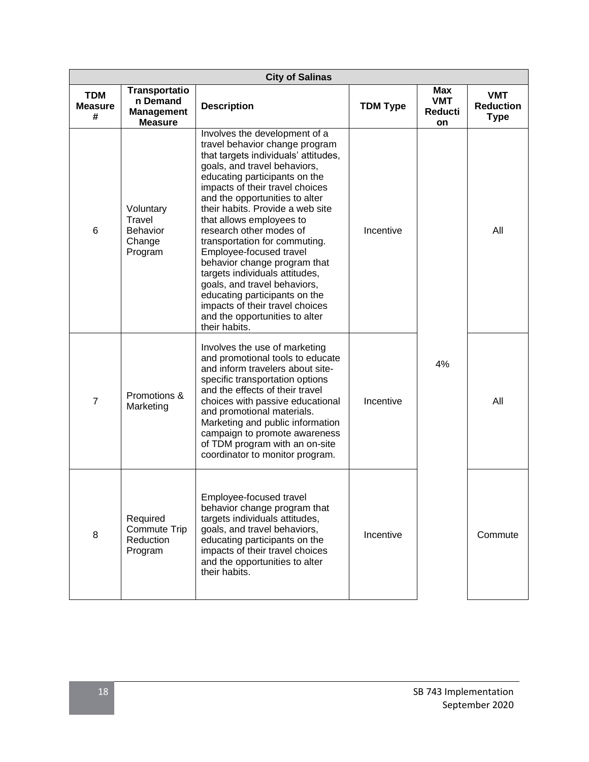|                                   | <b>City of Salinas</b>                                                  |                                                                                                                                                                                                                                                                                                                                                                                                                                                                                                                                                                                                                               |                 |                                           |                                               |
|-----------------------------------|-------------------------------------------------------------------------|-------------------------------------------------------------------------------------------------------------------------------------------------------------------------------------------------------------------------------------------------------------------------------------------------------------------------------------------------------------------------------------------------------------------------------------------------------------------------------------------------------------------------------------------------------------------------------------------------------------------------------|-----------------|-------------------------------------------|-----------------------------------------------|
| <b>TDM</b><br><b>Measure</b><br># | <b>Transportatio</b><br>n Demand<br><b>Management</b><br><b>Measure</b> | <b>Description</b>                                                                                                                                                                                                                                                                                                                                                                                                                                                                                                                                                                                                            | <b>TDM Type</b> | Max<br><b>VMT</b><br><b>Reducti</b><br>on | <b>VMT</b><br><b>Reduction</b><br><b>Type</b> |
| 6                                 | Voluntary<br><b>Travel</b><br><b>Behavior</b><br>Change<br>Program      | Involves the development of a<br>travel behavior change program<br>that targets individuals' attitudes,<br>goals, and travel behaviors,<br>educating participants on the<br>impacts of their travel choices<br>and the opportunities to alter<br>their habits. Provide a web site<br>that allows employees to<br>research other modes of<br>transportation for commuting.<br>Employee-focused travel<br>behavior change program that<br>targets individuals attitudes,<br>goals, and travel behaviors,<br>educating participants on the<br>impacts of their travel choices<br>and the opportunities to alter<br>their habits. | Incentive       |                                           | All                                           |
| $\overline{7}$                    | Promotions &<br>Marketing                                               | Involves the use of marketing<br>and promotional tools to educate<br>and inform travelers about site-<br>specific transportation options<br>and the effects of their travel<br>choices with passive educational<br>and promotional materials.<br>Marketing and public information<br>campaign to promote awareness<br>of TDM program with an on-site<br>coordinator to monitor program.                                                                                                                                                                                                                                       | Incentive       | 4%                                        | All                                           |
| 8                                 | Required<br><b>Commute Trip</b><br>Reduction<br>Program                 | Employee-focused travel<br>behavior change program that<br>targets individuals attitudes,<br>goals, and travel behaviors,<br>educating participants on the<br>impacts of their travel choices<br>and the opportunities to alter<br>their habits.                                                                                                                                                                                                                                                                                                                                                                              | Incentive       |                                           | Commute                                       |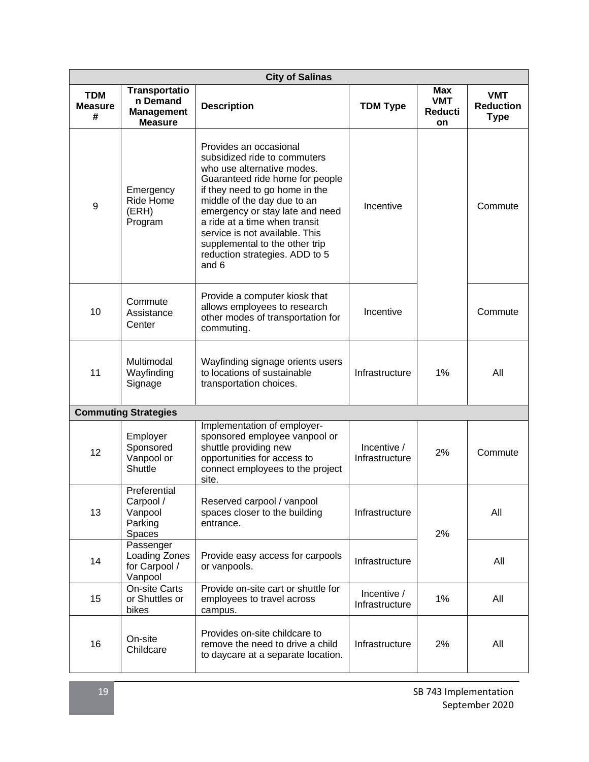| <b>City of Salinas</b>            |                                                                         |                                                                                                                                                                                                                                                                                                                                                                             |                               |                                                  |                                               |
|-----------------------------------|-------------------------------------------------------------------------|-----------------------------------------------------------------------------------------------------------------------------------------------------------------------------------------------------------------------------------------------------------------------------------------------------------------------------------------------------------------------------|-------------------------------|--------------------------------------------------|-----------------------------------------------|
| <b>TDM</b><br><b>Measure</b><br># | <b>Transportatio</b><br>n Demand<br><b>Management</b><br><b>Measure</b> | <b>Description</b>                                                                                                                                                                                                                                                                                                                                                          | <b>TDM Type</b>               | <b>Max</b><br><b>VMT</b><br><b>Reducti</b><br>on | <b>VMT</b><br><b>Reduction</b><br><b>Type</b> |
| 9                                 | Emergency<br>Ride Home<br>(ERH)<br>Program                              | Provides an occasional<br>subsidized ride to commuters<br>who use alternative modes.<br>Guaranteed ride home for people<br>if they need to go home in the<br>middle of the day due to an<br>emergency or stay late and need<br>a ride at a time when transit<br>service is not available. This<br>supplemental to the other trip<br>reduction strategies. ADD to 5<br>and 6 | Incentive                     |                                                  | Commute                                       |
| 10                                | Commute<br>Assistance<br>Center                                         | Provide a computer kiosk that<br>allows employees to research<br>other modes of transportation for<br>commuting.                                                                                                                                                                                                                                                            | Incentive                     |                                                  | Commute                                       |
| 11                                | Multimodal<br>Wayfinding<br>Signage                                     | Wayfinding signage orients users<br>to locations of sustainable<br>transportation choices.                                                                                                                                                                                                                                                                                  | Infrastructure                | 1%                                               | All                                           |
|                                   | <b>Commuting Strategies</b>                                             |                                                                                                                                                                                                                                                                                                                                                                             |                               |                                                  |                                               |
| 12                                | Employer<br>Sponsored<br>Vanpool or<br>Shuttle                          | Implementation of employer-<br>sponsored employee vanpool or<br>shuttle providing new<br>opportunities for access to<br>connect employees to the project<br>site.                                                                                                                                                                                                           | Incentive /<br>Infrastructure | 2%                                               | Commute                                       |
| 13                                | Preferential<br>Carpool /<br>Vanpool<br>Parking<br>Spaces               | Reserved carpool / vanpool<br>spaces closer to the building<br>entrance.                                                                                                                                                                                                                                                                                                    | Infrastructure                | 2%                                               | All                                           |
| 14                                | Passenger<br>Loading Zones<br>for Carpool /<br>Vanpool                  | Provide easy access for carpools<br>or vanpools.                                                                                                                                                                                                                                                                                                                            | Infrastructure                |                                                  | All                                           |
| 15                                | <b>On-site Carts</b><br>or Shuttles or<br>bikes                         | Provide on-site cart or shuttle for<br>employees to travel across<br>campus.                                                                                                                                                                                                                                                                                                | Incentive /<br>Infrastructure | 1%                                               | All                                           |
| 16                                | On-site<br>Childcare                                                    | Provides on-site childcare to<br>remove the need to drive a child<br>to daycare at a separate location.                                                                                                                                                                                                                                                                     | Infrastructure                | 2%                                               | All                                           |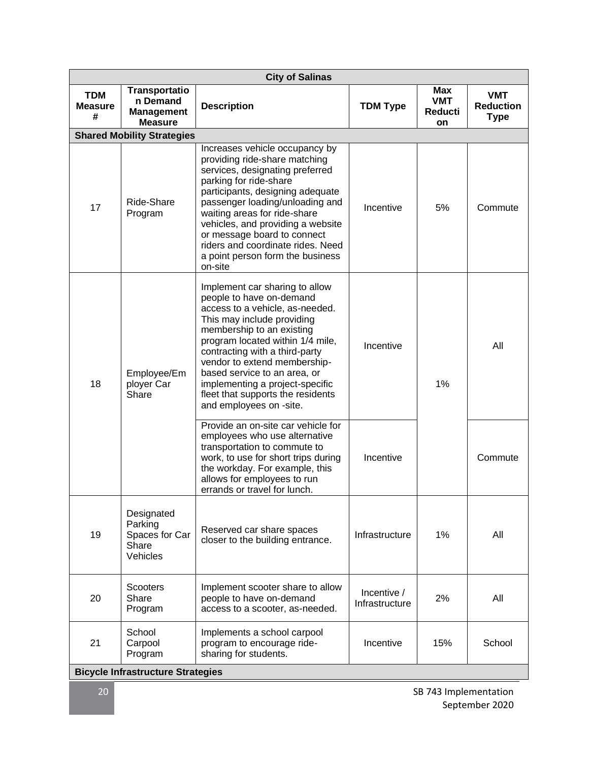|                                   | <b>City of Salinas</b>                                                  |                                                                                                                                                                                                                                                                                                                                                                                                   |                               |                                                  |                                               |
|-----------------------------------|-------------------------------------------------------------------------|---------------------------------------------------------------------------------------------------------------------------------------------------------------------------------------------------------------------------------------------------------------------------------------------------------------------------------------------------------------------------------------------------|-------------------------------|--------------------------------------------------|-----------------------------------------------|
| <b>TDM</b><br><b>Measure</b><br># | <b>Transportatio</b><br>n Demand<br><b>Management</b><br><b>Measure</b> | <b>Description</b>                                                                                                                                                                                                                                                                                                                                                                                | <b>TDM Type</b>               | <b>Max</b><br><b>VMT</b><br><b>Reducti</b><br>on | <b>VMT</b><br><b>Reduction</b><br><b>Type</b> |
|                                   | <b>Shared Mobility Strategies</b>                                       |                                                                                                                                                                                                                                                                                                                                                                                                   |                               |                                                  |                                               |
| 17                                | Ride-Share<br>Program                                                   | Increases vehicle occupancy by<br>providing ride-share matching<br>services, designating preferred<br>parking for ride-share<br>participants, designing adequate<br>passenger loading/unloading and<br>waiting areas for ride-share<br>vehicles, and providing a website<br>or message board to connect<br>riders and coordinate rides. Need<br>a point person form the business<br>on-site       | Incentive                     | 5%                                               | Commute                                       |
| 18                                | Employee/Em<br>ployer Car<br>Share                                      | Implement car sharing to allow<br>people to have on-demand<br>access to a vehicle, as-needed.<br>This may include providing<br>membership to an existing<br>program located within 1/4 mile,<br>contracting with a third-party<br>vendor to extend membership-<br>based service to an area, or<br>implementing a project-specific<br>fleet that supports the residents<br>and employees on -site. | Incentive                     | 1%                                               | All                                           |
|                                   |                                                                         | Provide an on-site car vehicle for<br>employees who use alternative<br>transportation to commute to<br>work, to use for short trips during<br>the workday. For example, this<br>allows for employees to run<br>errands or travel for lunch.                                                                                                                                                       | Incentive                     |                                                  | Commute                                       |
| 19                                | Designated<br>Parking<br>Spaces for Car<br>Share<br>Vehicles            | Reserved car share spaces<br>closer to the building entrance.                                                                                                                                                                                                                                                                                                                                     | Infrastructure                | 1%                                               | All                                           |
| 20                                | <b>Scooters</b><br>Share<br>Program                                     | Implement scooter share to allow<br>people to have on-demand<br>access to a scooter, as-needed.                                                                                                                                                                                                                                                                                                   | Incentive /<br>Infrastructure | 2%                                               | All                                           |
| 21                                | School<br>Carpool<br>Program                                            | Implements a school carpool<br>program to encourage ride-<br>sharing for students.                                                                                                                                                                                                                                                                                                                | Incentive                     | 15%                                              | School                                        |
|                                   | <b>Bicycle Infrastructure Strategies</b>                                |                                                                                                                                                                                                                                                                                                                                                                                                   |                               |                                                  |                                               |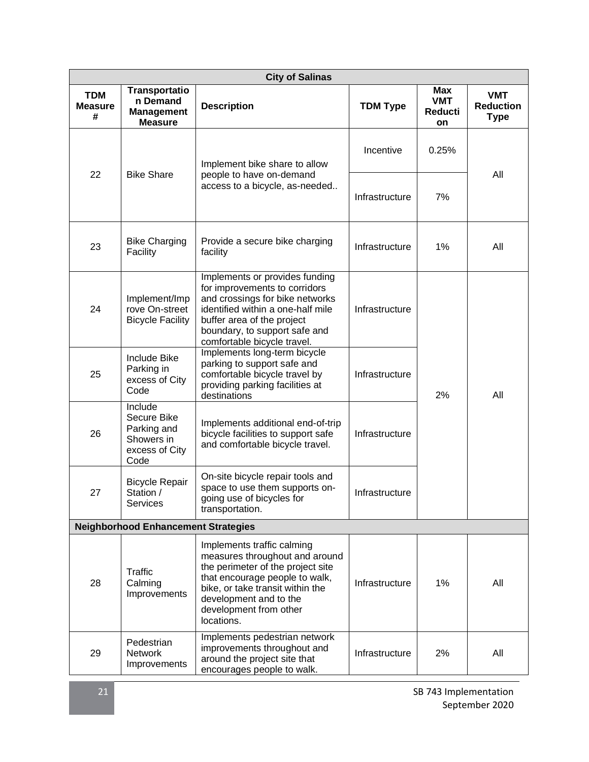| <b>City of Salinas</b>            |                                                                               |                                                                                                                                                                                                                                           |                 |                                           |                                               |
|-----------------------------------|-------------------------------------------------------------------------------|-------------------------------------------------------------------------------------------------------------------------------------------------------------------------------------------------------------------------------------------|-----------------|-------------------------------------------|-----------------------------------------------|
| <b>TDM</b><br><b>Measure</b><br># | <b>Transportatio</b><br>n Demand<br><b>Management</b><br><b>Measure</b>       | <b>Description</b>                                                                                                                                                                                                                        | <b>TDM Type</b> | Max<br><b>VMT</b><br><b>Reducti</b><br>on | <b>VMT</b><br><b>Reduction</b><br><b>Type</b> |
|                                   |                                                                               | Implement bike share to allow                                                                                                                                                                                                             | Incentive       | 0.25%                                     |                                               |
| 22                                | <b>Bike Share</b>                                                             | people to have on-demand<br>access to a bicycle, as-needed                                                                                                                                                                                | Infrastructure  | 7%                                        | All                                           |
| 23                                | <b>Bike Charging</b><br>Facility                                              | Provide a secure bike charging<br>facility                                                                                                                                                                                                | Infrastructure  | 1%                                        | All                                           |
| 24                                | Implement/Imp<br>rove On-street<br><b>Bicycle Facility</b>                    | Implements or provides funding<br>for improvements to corridors<br>and crossings for bike networks<br>identified within a one-half mile<br>buffer area of the project<br>boundary, to support safe and<br>comfortable bicycle travel.     | Infrastructure  |                                           |                                               |
| 25                                | <b>Include Bike</b><br>Parking in<br>excess of City<br>Code                   | Implements long-term bicycle<br>parking to support safe and<br>comfortable bicycle travel by<br>providing parking facilities at<br>destinations                                                                                           | Infrastructure  | 2%                                        | All                                           |
| 26                                | Include<br>Secure Bike<br>Parking and<br>Showers in<br>excess of City<br>Code | Implements additional end-of-trip<br>bicycle facilities to support safe<br>and comfortable bicycle travel.                                                                                                                                | Infrastructure  |                                           |                                               |
| 27                                | <b>Bicycle Repair</b><br>Station /<br>Services                                | On-site bicycle repair tools and<br>space to use them supports on-<br>going use of bicycles for<br>transportation.                                                                                                                        | Infrastructure  |                                           |                                               |
|                                   | <b>Neighborhood Enhancement Strategies</b>                                    |                                                                                                                                                                                                                                           |                 |                                           |                                               |
| 28                                | Traffic<br>Calming<br>Improvements                                            | Implements traffic calming<br>measures throughout and around<br>the perimeter of the project site<br>that encourage people to walk,<br>bike, or take transit within the<br>development and to the<br>development from other<br>locations. | Infrastructure  | 1%                                        | All                                           |
| 29                                | Pedestrian<br><b>Network</b><br>Improvements                                  | Implements pedestrian network<br>improvements throughout and<br>around the project site that<br>encourages people to walk.                                                                                                                | Infrastructure  | 2%                                        | All                                           |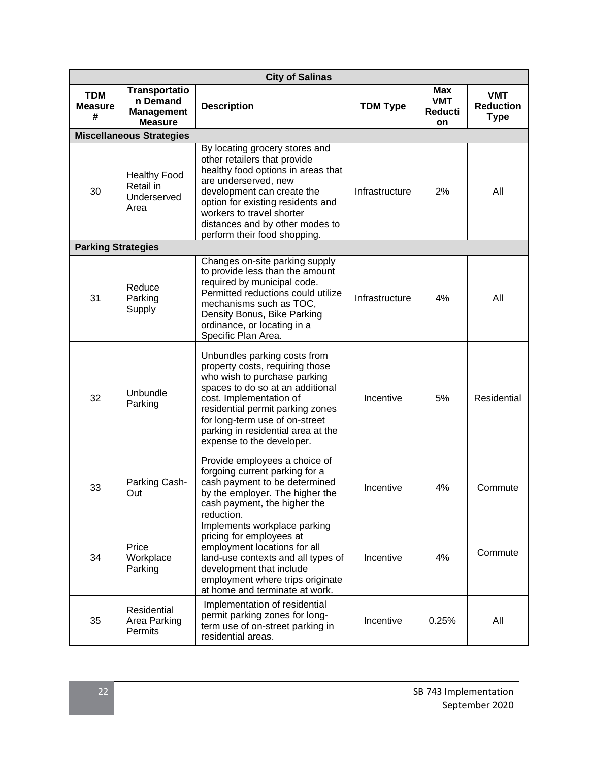| <b>City of Salinas</b>            |                                                                         |                                                                                                                                                                                                                                                                                                         |                 |                                                  |                                               |
|-----------------------------------|-------------------------------------------------------------------------|---------------------------------------------------------------------------------------------------------------------------------------------------------------------------------------------------------------------------------------------------------------------------------------------------------|-----------------|--------------------------------------------------|-----------------------------------------------|
| <b>TDM</b><br><b>Measure</b><br># | <b>Transportatio</b><br>n Demand<br><b>Management</b><br><b>Measure</b> | <b>Description</b>                                                                                                                                                                                                                                                                                      | <b>TDM Type</b> | <b>Max</b><br><b>VMT</b><br><b>Reducti</b><br>on | <b>VMT</b><br><b>Reduction</b><br><b>Type</b> |
|                                   | <b>Miscellaneous Strategies</b>                                         |                                                                                                                                                                                                                                                                                                         |                 |                                                  |                                               |
| 30                                | <b>Healthy Food</b><br>Retail in<br>Underserved<br>Area                 | By locating grocery stores and<br>other retailers that provide<br>healthy food options in areas that<br>are underserved, new<br>development can create the<br>option for existing residents and<br>workers to travel shorter<br>distances and by other modes to<br>perform their food shopping.         | Infrastructure  | 2%                                               | All                                           |
| <b>Parking Strategies</b>         |                                                                         |                                                                                                                                                                                                                                                                                                         |                 |                                                  |                                               |
| 31                                | Reduce<br>Parking<br>Supply                                             | Changes on-site parking supply<br>to provide less than the amount<br>required by municipal code.<br>Permitted reductions could utilize<br>mechanisms such as TOC,<br>Density Bonus, Bike Parking<br>ordinance, or locating in a<br>Specific Plan Area.                                                  | Infrastructure  | 4%                                               | All                                           |
| 32                                | Unbundle<br>Parking                                                     | Unbundles parking costs from<br>property costs, requiring those<br>who wish to purchase parking<br>spaces to do so at an additional<br>cost. Implementation of<br>residential permit parking zones<br>for long-term use of on-street<br>parking in residential area at the<br>expense to the developer. | Incentive       | 5%                                               | Residential                                   |
| 33                                | Parking Cash-<br>Out                                                    | Provide employees a choice of<br>forgoing current parking for a<br>cash payment to be determined<br>by the employer. The higher the<br>cash payment, the higher the<br>reduction.                                                                                                                       | Incentive       | 4%                                               | Commute                                       |
| 34                                | Price<br>Workplace<br>Parking                                           | Implements workplace parking<br>pricing for employees at<br>employment locations for all<br>land-use contexts and all types of<br>development that include<br>employment where trips originate<br>at home and terminate at work.                                                                        | Incentive       | 4%                                               | Commute                                       |
| 35                                | Residential<br>Area Parking<br>Permits                                  | Implementation of residential<br>permit parking zones for long-<br>term use of on-street parking in<br>residential areas.                                                                                                                                                                               | Incentive       | 0.25%                                            | All                                           |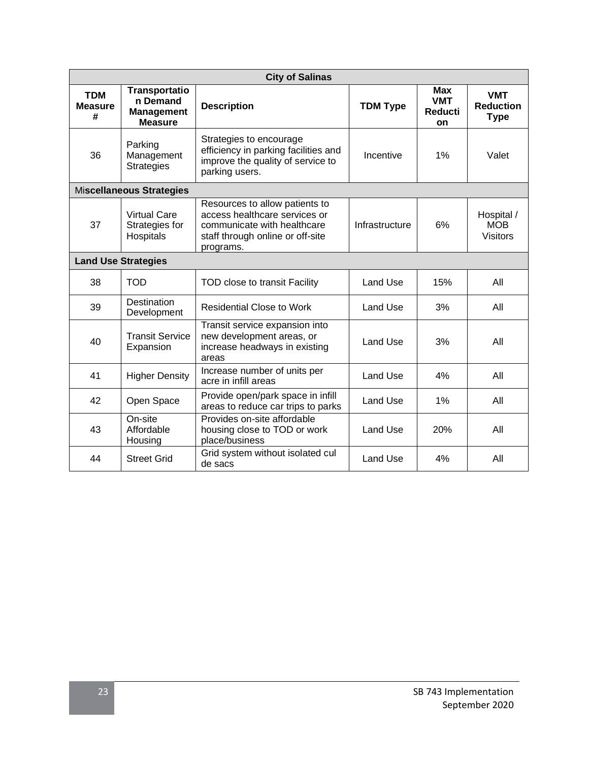| <b>City of Salinas</b>            |                                                                         |                                                                                                                                                 |                 |                                                   |                                               |
|-----------------------------------|-------------------------------------------------------------------------|-------------------------------------------------------------------------------------------------------------------------------------------------|-----------------|---------------------------------------------------|-----------------------------------------------|
| <b>TDM</b><br><b>Measure</b><br># | <b>Transportatio</b><br>n Demand<br><b>Management</b><br><b>Measure</b> | <b>Description</b>                                                                                                                              | <b>TDM Type</b> | <b>Max</b><br><b>VMT</b><br><b>Reducti</b><br>on. | <b>VMT</b><br><b>Reduction</b><br><b>Type</b> |
| 36                                | Parking<br>Management<br><b>Strategies</b>                              | Strategies to encourage<br>efficiency in parking facilities and<br>improve the quality of service to<br>parking users.                          | Incentive       | 1%                                                | Valet                                         |
| <b>Miscellaneous Strategies</b>   |                                                                         |                                                                                                                                                 |                 |                                                   |                                               |
| 37                                | Virtual Care<br>Strategies for<br>Hospitals                             | Resources to allow patients to<br>access healthcare services or<br>communicate with healthcare<br>staff through online or off-site<br>programs. | Infrastructure  | 6%                                                | Hospital /<br><b>MOB</b><br><b>Visitors</b>   |
| <b>Land Use Strategies</b>        |                                                                         |                                                                                                                                                 |                 |                                                   |                                               |
| 38                                | <b>TOD</b>                                                              | TOD close to transit Facility                                                                                                                   | Land Use        | 15%                                               | All                                           |
| 39                                | <b>Destination</b><br>Development                                       | <b>Residential Close to Work</b>                                                                                                                | Land Use        | 3%                                                | All                                           |
| 40                                | <b>Transit Service</b><br>Expansion                                     | Transit service expansion into<br>new development areas, or<br>increase headways in existing<br>areas                                           | Land Use        | 3%                                                | All                                           |
| 41                                | <b>Higher Density</b>                                                   | Increase number of units per<br>acre in infill areas                                                                                            | Land Use        | 4%                                                | All                                           |
| 42                                | Open Space                                                              | Provide open/park space in infill<br>areas to reduce car trips to parks                                                                         | Land Use        | 1%                                                | All                                           |
| 43                                | On-site<br>Affordable<br>Housing                                        | Provides on-site affordable<br>housing close to TOD or work<br>place/business                                                                   | Land Use        | 20%                                               | All                                           |
| 44                                | <b>Street Grid</b>                                                      | Grid system without isolated cul<br>de sacs                                                                                                     | Land Use        | 4%                                                | All                                           |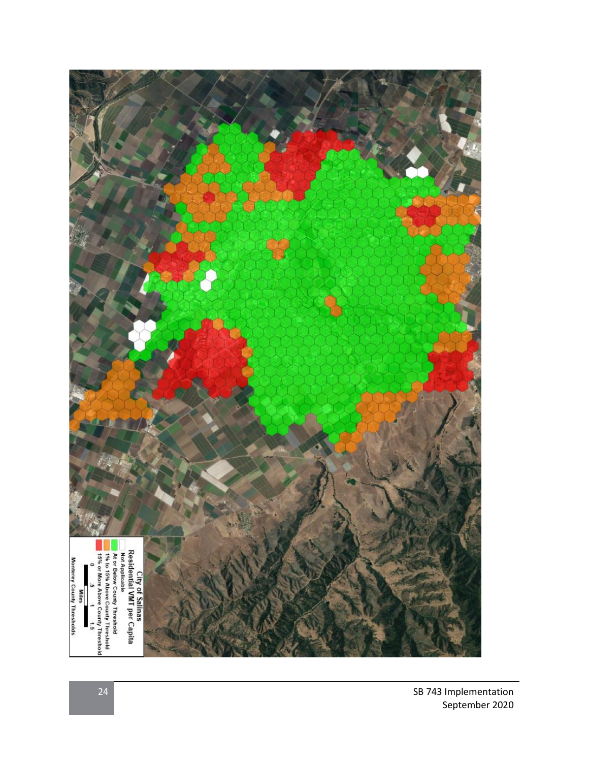